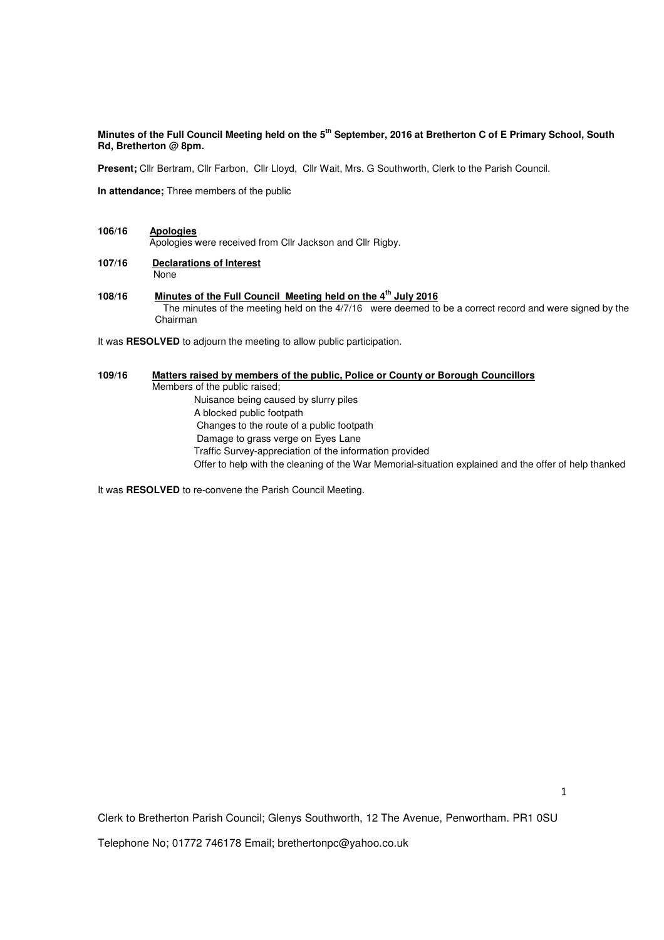**Minutes of the Full Council Meeting held on the 5th September, 2016 at Bretherton C of E Primary School, South Rd, Bretherton @ 8pm.** 

**Present;** Cllr Bertram, Cllr Farbon, Cllr Lloyd, Cllr Wait, Mrs. G Southworth, Clerk to the Parish Council.

**In attendance;** Three members of the public

# **106/16 Apologies** Apologies were received from Cllr Jackson and Cllr Rigby.

- **107/16 Declarations of Interest** None
- **108/16 Minutes of the Full Council Meeting held on the 4th July 2016**  The minutes of the meeting held on the 4/7/16 were deemed to be a correct record and were signed by the Chairman

It was **RESOLVED** to adjourn the meeting to allow public participation.

# **109/16 Matters raised by members of the public, Police or County or Borough Councillors**  Members of the public raised; Nuisance being caused by slurry piles A blocked public footpath Changes to the route of a public footpath Damage to grass verge on Eyes Lane Traffic Survey-appreciation of the information provided Offer to help with the cleaning of the War Memorial-situation explained and the offer of help thanked

It was **RESOLVED** to re-convene the Parish Council Meeting.

Clerk to Bretherton Parish Council; Glenys Southworth, 12 The Avenue, Penwortham. PR1 0SU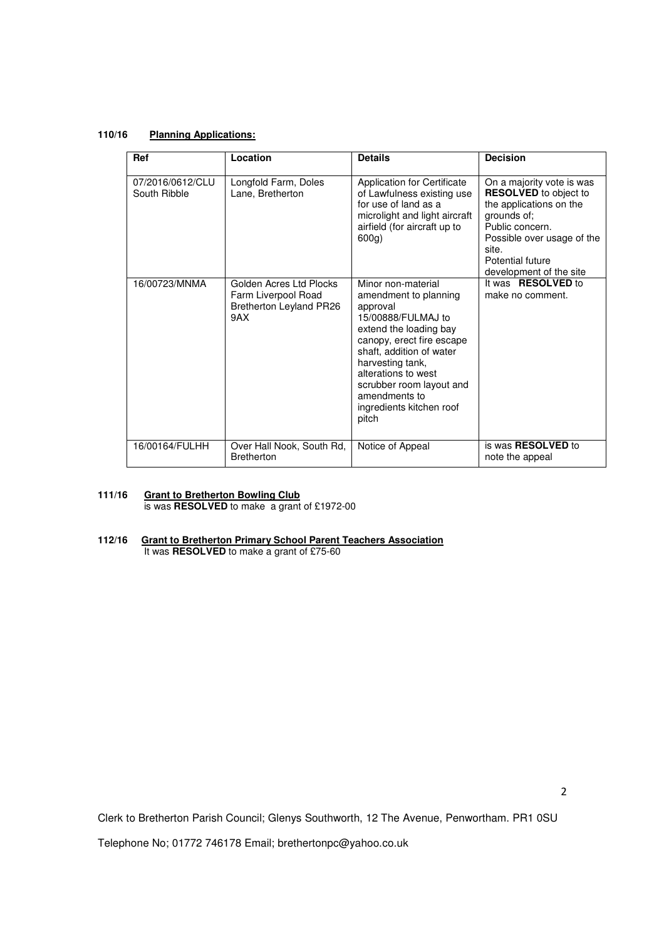# **110/16 Planning Applications:**

| Ref                              | Location                                                                         | <b>Details</b>                                                                                                                                                                                                                                                                                | <b>Decision</b>                                                                                                                                                                   |
|----------------------------------|----------------------------------------------------------------------------------|-----------------------------------------------------------------------------------------------------------------------------------------------------------------------------------------------------------------------------------------------------------------------------------------------|-----------------------------------------------------------------------------------------------------------------------------------------------------------------------------------|
| 07/2016/0612/CLU<br>South Ribble | Longfold Farm, Doles<br>Lane, Bretherton                                         | <b>Application for Certificate</b><br>of Lawfulness existing use<br>for use of land as a<br>microlight and light aircraft<br>airfield (for aircraft up to<br>$600q$ )                                                                                                                         | On a majority vote is was<br><b>RESOLVED</b> to object to<br>the applications on the<br>grounds of;<br>Public concern.<br>Possible over usage of the<br>site.<br>Potential future |
| 16/00723/MNMA                    | Golden Acres Ltd Plocks<br>Farm Liverpool Road<br>Bretherton Leyland PR26<br>9AX | Minor non-material<br>amendment to planning<br>approval<br>15/00888/FULMAJ to<br>extend the loading bay<br>canopy, erect fire escape<br>shaft, addition of water<br>harvesting tank,<br>alterations to west<br>scrubber room layout and<br>amendments to<br>ingredients kitchen roof<br>pitch | development of the site<br>It was <b>RESOLVED</b> to<br>make no comment.                                                                                                          |
| 16/00164/FULHH                   | Over Hall Nook, South Rd,<br><b>Bretherton</b>                                   | Notice of Appeal                                                                                                                                                                                                                                                                              | is was RESOLVED to<br>note the appeal                                                                                                                                             |

## **111/16 Grant to Bretherton Bowling Club** is was **RESOLVED** to make a grant of £1972-00

# **112/16 Grant to Bretherton Primary School Parent Teachers Association**

It was **RESOLVED** to make a grant of £75-60

Clerk to Bretherton Parish Council; Glenys Southworth, 12 The Avenue, Penwortham. PR1 0SU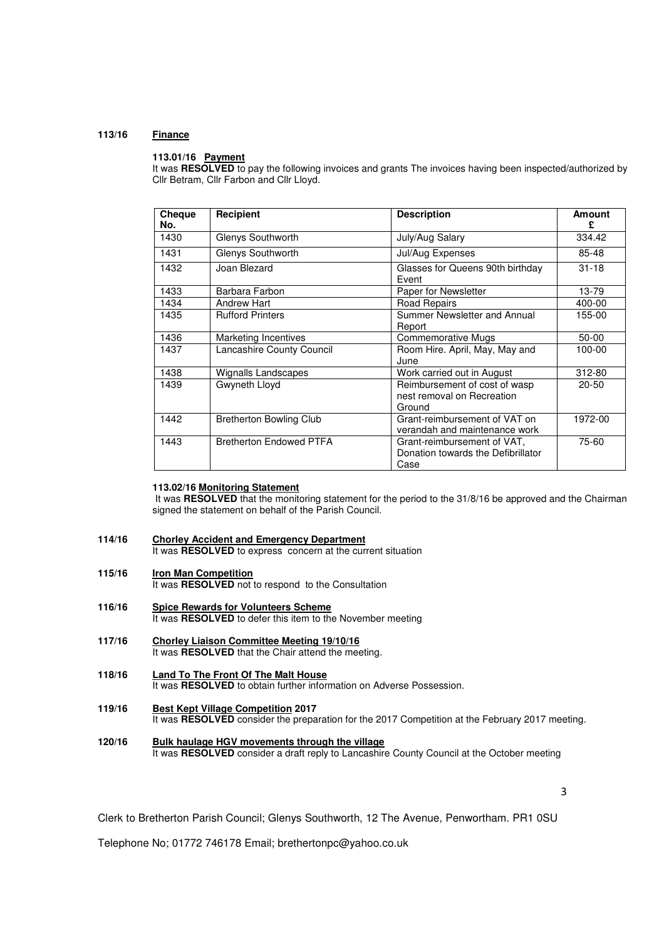## **113/16 Finance**

## **113.01/16 Payment**

It was **RESOLVED** to pay the following invoices and grants The invoices having been inspected/authorized by Cllr Betram, Cllr Farbon and Cllr Lloyd.

| Cheque<br>No. | <b>Recipient</b>               | <b>Description</b>                                                                 | Amount<br>£ |
|---------------|--------------------------------|------------------------------------------------------------------------------------|-------------|
| 1430          | Glenys Southworth              | July/Aug Salary                                                                    | 334.42      |
| 1431          | Glenys Southworth              | Jul/Aug Expenses                                                                   | 85-48       |
| 1432          | Joan Blezard                   | Glasses for Queens 90th birthday<br>Event                                          | $31 - 18$   |
| 1433          | Barbara Farbon                 | Paper for Newsletter                                                               | 13-79       |
| 1434          | <b>Andrew Hart</b>             | Road Repairs                                                                       | 400-00      |
| 1435          | <b>Rufford Printers</b>        | Summer Newsletter and Annual<br>Report                                             | 155-00      |
| 1436          | <b>Marketing Incentives</b>    | Commemorative Mugs                                                                 | $50 - 00$   |
| 1437          | Lancashire County Council      | Room Hire. April, May, May and<br>June                                             | 100-00      |
| 1438          | Wignalls Landscapes            | Work carried out in August                                                         | 312-80      |
| 1439          | Gwyneth Lloyd                  | Reimbursement of cost of wasp<br>20-50<br>nest removal on Recreation<br>Ground     |             |
| 1442          | <b>Bretherton Bowling Club</b> | Grant-reimbursement of VAT on<br>1972-00<br>verandah and maintenance work          |             |
| 1443          | <b>Bretherton Endowed PTFA</b> | 75-60<br>Grant-reimbursement of VAT,<br>Donation towards the Defibrillator<br>Case |             |

# **113.02/16 Monitoring Statement**

It was RESOLVED that the monitoring statement for the period to the 31/8/16 be approved and the Chairman signed the statement on behalf of the Parish Council.

- **114/16 Chorley Accident and Emergency Department** It was **RESOLVED** to express concern at the current situation
- **115/16 Iron Man Competition** It was **RESOLVED** not to respond to the Consultation
- **116/16 Spice Rewards for Volunteers Scheme**  It was **RESOLVED** to defer this item to the November meeting
- **117/16 Chorley Liaison Committee Meeting 19/10/16**  It was **RESOLVED** that the Chair attend the meeting.
- **118/16 Land To The Front Of The Malt House**  It was **RESOLVED** to obtain further information on Adverse Possession.
- **119/16 Best Kept Village Competition 2017**  It was **RESOLVED** consider the preparation for the 2017 Competition at the February 2017 meeting.
- **120/16 Bulk haulage HGV movements through the village**  It was **RESOLVED** consider a draft reply to Lancashire County Council at the October meeting

3

Clerk to Bretherton Parish Council; Glenys Southworth, 12 The Avenue, Penwortham. PR1 0SU